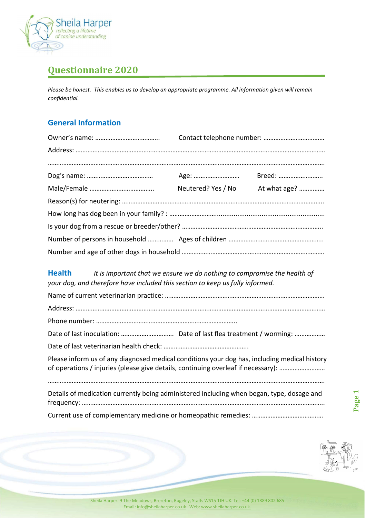

## Questionnaire 2020

Please be honest. This enables us to develop an appropriate programme. All information given will remain confidential.

### General Information

| Age:               | Breed:       |
|--------------------|--------------|
| Neutered? Yes / No | At what age? |
|                    |              |
|                    |              |
|                    |              |
|                    |              |
|                    |              |
|                    |              |

#### Health It is important that we ensure we do nothing to compromise the health of your dog, and therefore have included this section to keep us fully informed.

| Please inform us of any diagnosed medical conditions your dog has, including medical history<br>of operations / injuries (please give details, continuing overleaf if necessary): |                               |
|-----------------------------------------------------------------------------------------------------------------------------------------------------------------------------------|-------------------------------|
| Details of medication currently being administered including when began, type, dosage and                                                                                         | Ō.<br>$\mathbf{\overline{d}}$ |
|                                                                                                                                                                                   |                               |
|                                                                                                                                                                                   |                               |
|                                                                                                                                                                                   |                               |
|                                                                                                                                                                                   |                               |
| Sheila Harper. 9 The Meadows, Brereton, Rugeley, Staffs WS15 1JH UK. Tel: +44 (0) 1889 802 685                                                                                    |                               |